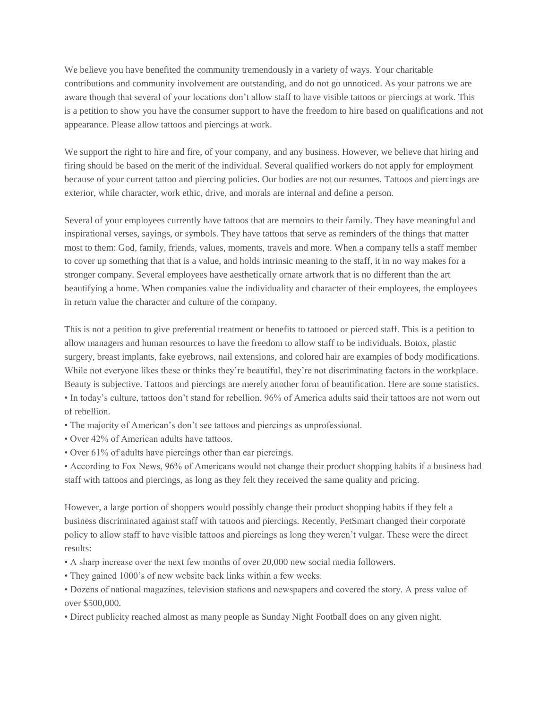We believe you have benefited the community tremendously in a variety of ways. Your charitable contributions and community involvement are outstanding, and do not go unnoticed. As your patrons we are aware though that several of your locations don't allow staff to have visible tattoos or piercings at work. This is a petition to show you have the consumer support to have the freedom to hire based on qualifications and not appearance. Please allow tattoos and piercings at work.

We support the right to hire and fire, of your company, and any business. However, we believe that hiring and firing should be based on the merit of the individual. Several qualified workers do not apply for employment because of your current tattoo and piercing policies. Our bodies are not our resumes. Tattoos and piercings are exterior, while character, work ethic, drive, and morals are internal and define a person.

Several of your employees currently have tattoos that are memoirs to their family. They have meaningful and inspirational verses, sayings, or symbols. They have tattoos that serve as reminders of the things that matter most to them: God, family, friends, values, moments, travels and more. When a company tells a staff member to cover up something that that is a value, and holds intrinsic meaning to the staff, it in no way makes for a stronger company. Several employees have aesthetically ornate artwork that is no different than the art beautifying a home. When companies value the individuality and character of their employees, the employees in return value the character and culture of the company.

This is not a petition to give preferential treatment or benefits to tattooed or pierced staff. This is a petition to allow managers and human resources to have the freedom to allow staff to be individuals. Botox, plastic surgery, breast implants, fake eyebrows, nail extensions, and colored hair are examples of body modifications. While not everyone likes these or thinks they're beautiful, they're not discriminating factors in the workplace. Beauty is subjective. Tattoos and piercings are merely another form of beautification. Here are some statistics. • In today's culture, tattoos don't stand for rebellion. 96% of America adults said their tattoos are not worn out of rebellion.

- The majority of American's don't see tattoos and piercings as unprofessional.
- Over 42% of American adults have tattoos.
- Over 61% of adults have piercings other than ear piercings.

• According to Fox News, 96% of Americans would not change their product shopping habits if a business had staff with tattoos and piercings, as long as they felt they received the same quality and pricing.

However, a large portion of shoppers would possibly change their product shopping habits if they felt a business discriminated against staff with tattoos and piercings. Recently, PetSmart changed their corporate policy to allow staff to have visible tattoos and piercings as long they weren't vulgar. These were the direct results:

- A sharp increase over the next few months of over 20,000 new social media followers.
- They gained 1000's of new website back links within a few weeks.
- Dozens of national magazines, television stations and newspapers and covered the story. A press value of over \$500,000.
- Direct publicity reached almost as many people as Sunday Night Football does on any given night.